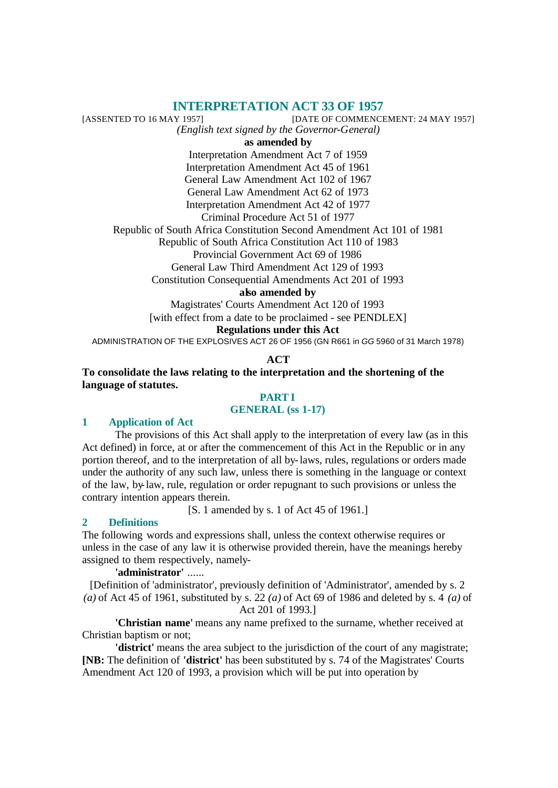**INTERPRETATION ACT 33 OF 1957**<br>[DATE OF COMMENCE] [DATE OF COMMENCE [DATE OF COMMENCEMENT: 24 MAY 1957] *(English text signed by the Governor-General)*

**as amended by**

Interpretation Amendment Act 7 of 1959 Interpretation Amendment Act 45 of 1961 General Law Amendment Act 102 of 1967

General Law Amendment Act 62 of 1973

Interpretation Amendment Act 42 of 1977

Criminal Procedure Act 51 of 1977

Republic of South Africa Constitution Second Amendment Act 101 of 1981

Republic of South Africa Constitution Act 110 of 1983

Provincial Government Act 69 of 1986

General Law Third Amendment Act 129 of 1993

Constitution Consequential Amendments Act 201 of 1993

**also amended by**

Magistrates' Courts Amendment Act 120 of 1993 [with effect from a date to be proclaimed - see PENDLEX]

# **Regulations under this Act**

ADMINISTRATION OF THE EXPLOSIVES ACT 26 OF 1956 (GN R661 in *GG* 5960 of 31 March 1978)

## **ACT**

**To consolidate the laws relating to the interpretation and the shortening of the language of statutes.**

# **PART I GENERAL (ss 1-17)**

## **1 Application of Act**

The provisions of this Act shall apply to the interpretation of every law (as in this Act defined) in force, at or after the commencement of this Act in the Republic or in any portion thereof, and to the interpretation of all by-laws, rules, regulations or orders made under the authority of any such law, unless there is something in the language or context of the law, by-law, rule, regulation or order repugnant to such provisions or unless the contrary intention appears therein.

[S. 1 amended by s. 1 of Act 45 of 1961.]

# **2 Definitions**

The following words and expressions shall, unless the context otherwise requires or unless in the case of any law it is otherwise provided therein, have the meanings hereby assigned to them respectively, namely-

**'administrator'** ......

[Definition of 'administrator', previously definition of 'Administrator', amended by s. 2 *(a)* of Act 45 of 1961, substituted by s. 22 *(a)* of Act 69 of 1986 and deleted by s. 4 *(a)* of Act 201 of 1993.]

**'Christian name'** means any name prefixed to the surname, whether received at Christian baptism or not;

**'district'** means the area subject to the jurisdiction of the court of any magistrate; **[NB:** The definition of **'district'** has been substituted by s. 74 of the Magistrates' Courts Amendment Act 120 of 1993, a provision which will be put into operation by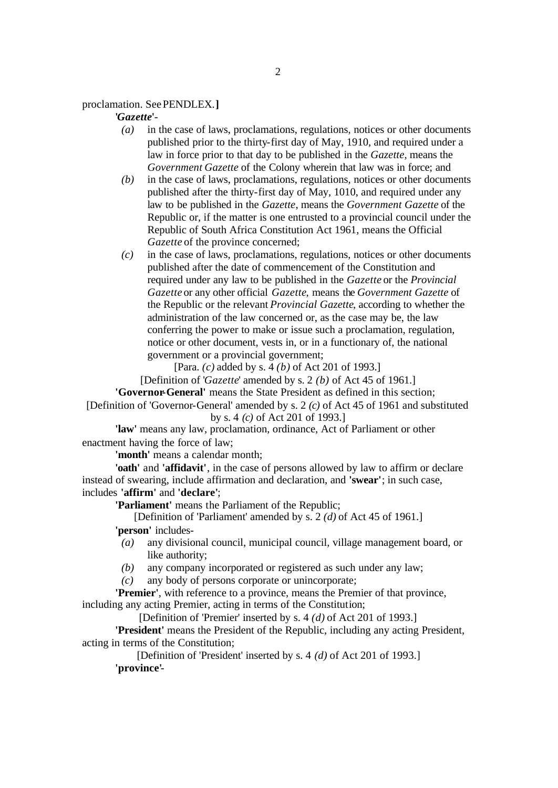## proclamation. SeePENDLEX.**]**

**'***Gazette***'**-

- *(a)* in the case of laws, proclamations, regulations, notices or other documents published prior to the thirty-first day of May, 1910, and required under a law in force prior to that day to be published in the *Gazette*, means the *Government Gazette* of the Colony wherein that law was in force; and
- *(b)* in the case of laws, proclamations, regulations, notices or other documents published after the thirty-first day of May, 1010, and required under any law to be published in the *Gazette*, means the *Government Gazette* of the Republic or, if the matter is one entrusted to a provincial council under the Republic of South Africa Constitution Act 1961, means the Official *Gazette* of the province concerned;
- *(c)* in the case of laws, proclamations, regulations, notices or other documents published after the date of commencement of the Constitution and required under any law to be published in the *Gazette* or the *Provincial Gazette* or any other official *Gazette*, means the *Government Gazette* of the Republic or the relevant *Provincial Gazette*, according to whether the administration of the law concerned or, as the case may be, the law conferring the power to make or issue such a proclamation, regulation, notice or other document, vests in, or in a functionary of, the national government or a provincial government;

[Para. *(c)* added by s. 4 *(b)* of Act 201 of 1993.]

[Definition of '*Gazette*' amended by s. 2 *(b)* of Act 45 of 1961.]

**'Governor-General'** means the State President as defined in this section; [Definition of 'Governor-General' amended by s. 2 *(c)* of Act 45 of 1961 and substituted

by s. 4 *(c)* of Act 201 of 1993.]

**'law'** means any law, proclamation, ordinance, Act of Parliament or other enactment having the force of law;

**'month'** means a calendar month;

**'oath'** and **'affidavit'**, in the case of persons allowed by law to affirm or declare instead of swearing, include affirmation and declaration, and **'swear'**; in such case, includes **'affirm'** and **'declare'**;

**'Parliament'** means the Parliament of the Republic;

[Definition of 'Parliament' amended by s. 2 *(d)* of Act 45 of 1961.] **'person'** includes-

- *(a)* any divisional council, municipal council, village management board, or like authority;
- *(b)* any company incorporated or registered as such under any law;
- *(c)* any body of persons corporate or unincorporate;

**'Premier'**, with reference to a province, means the Premier of that province, including any acting Premier, acting in terms of the Constitution;

[Definition of 'Premier' inserted by s. 4 *(d)* of Act 201 of 1993.]

**'President'** means the President of the Republic, including any acting President, acting in terms of the Constitution;

[Definition of 'President' inserted by s. 4 *(d)* of Act 201 of 1993.] **'province'**-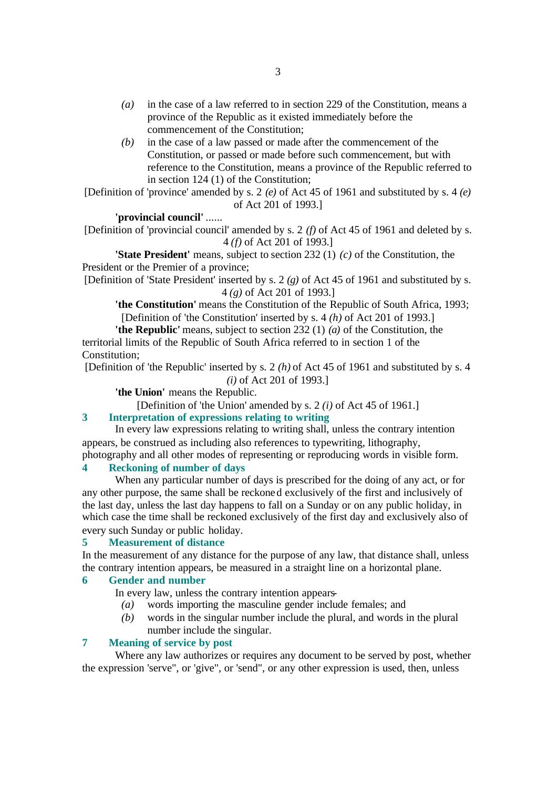- *(a)* in the case of a law referred to in section 229 of the Constitution, means a province of the Republic as it existed immediately before the commencement of the Constitution;
- *(b)* in the case of a law passed or made after the commencement of the Constitution, or passed or made before such commencement, but with reference to the Constitution, means a province of the Republic referred to in section 124 (1) of the Constitution;

[Definition of 'province' amended by s. 2 *(e)* of Act 45 of 1961 and substituted by s. 4 *(e)* of Act 201 of 1993.]

### **'provincial council'** ......

[Definition of 'provincial council' amended by s. 2 *(f)* of Act 45 of 1961 and deleted by s. 4 *(f)* of Act 201 of 1993.]

**'State President'** means, subject to section 232 (1) *(c)* of the Constitution, the President or the Premier of a province;

[Definition of 'State President' inserted by s. 2 *(g)* of Act 45 of 1961 and substituted by s. 4 *(g)* of Act 201 of 1993.]

**'the Constitution'** means the Constitution of the Republic of South Africa, 1993; [Definition of 'the Constitution' inserted by s. 4 *(h)* of Act 201 of 1993.]

**'the Republic'** means, subject to section 232 (1) *(a)* of the Constitution, the territorial limits of the Republic of South Africa referred to in section 1 of the Constitution;

[Definition of 'the Republic' inserted by s. 2 *(h)* of Act 45 of 1961 and substituted by s. 4

*(i)* of Act 201 of 1993.]

**'the Union'** means the Republic.

[Definition of 'the Union' amended by s. 2 *(i)* of Act 45 of 1961.]

## **3 Interpretation of expressions relating to writing**

In every law expressions relating to writing shall, unless the contrary intention appears, be construed as including also references to typewriting, lithography, photography and all other modes of representing or reproducing words in visible form.

### **4 Reckoning of number of days**

When any particular number of days is prescribed for the doing of any act, or for any other purpose, the same shall be reckoned exclusively of the first and inclusively of the last day, unless the last day happens to fall on a Sunday or on any public holiday, in which case the time shall be reckoned exclusively of the first day and exclusively also of every such Sunday or public holiday.

# **5 Measurement of distance**

In the measurement of any distance for the purpose of any law, that distance shall, unless the contrary intention appears, be measured in a straight line on a horizontal plane.

# **6 Gender and number**

In every law, unless the contrary intention appears-

- *(a)* words importing the masculine gender include females; and
- *(b)* words in the singular number include the plural, and words in the plural number include the singular.

# **7 Meaning of service by post**

Where any law authorizes or requires any document to be served by post, whether the expression 'serve", or 'give", or 'send", or any other expression is used, then, unless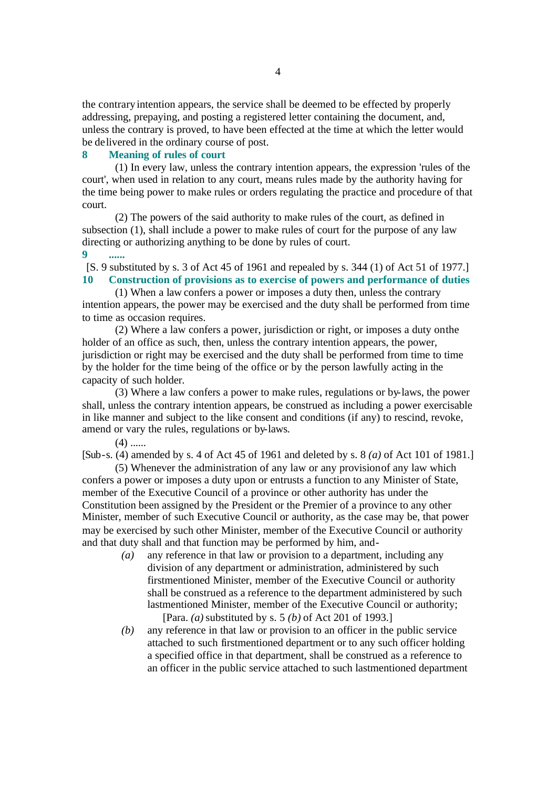the contrary intention appears, the service shall be deemed to be effected by properly addressing, prepaying, and posting a registered letter containing the document, and, unless the contrary is proved, to have been effected at the time at which the letter would be delivered in the ordinary course of post.

# **8 Meaning of rules of court**

(1) In every law, unless the contrary intention appears, the expression 'rules of the court', when used in relation to any court, means rules made by the authority having for the time being power to make rules or orders regulating the practice and procedure of that court.

(2) The powers of the said authority to make rules of the court, as defined in subsection (1), shall include a power to make rules of court for the purpose of any law directing or authorizing anything to be done by rules of court.

## **9 ......**

[S. 9 substituted by s. 3 of Act 45 of 1961 and repealed by s. 344 (1) of Act 51 of 1977.] **10 Construction of provisions as to exercise of powers and performance of duties**

(1) When a law confers a power or imposes a duty then, unless the contrary intention appears, the power may be exercised and the duty shall be performed from time to time as occasion requires.

(2) Where a law confers a power, jurisdiction or right, or imposes a duty on the holder of an office as such, then, unless the contrary intention appears, the power, jurisdiction or right may be exercised and the duty shall be performed from time to time by the holder for the time being of the office or by the person lawfully acting in the capacity of such holder.

(3) Where a law confers a power to make rules, regulations or by-laws, the power shall, unless the contrary intention appears, be construed as including a power exercisable in like manner and subject to the like consent and conditions (if any) to rescind, revoke, amend or vary the rules, regulations or by-laws.

#### $(4)$  ......

[Sub-s. (4) amended by s. 4 of Act 45 of 1961 and deleted by s. 8 *(a)* of Act 101 of 1981.]

(5) Whenever the administration of any law or any provision of any law which confers a power or imposes a duty upon or entrusts a function to any Minister of State, member of the Executive Council of a province or other authority has under the Constitution been assigned by the President or the Premier of a province to any other Minister, member of such Executive Council or authority, as the case may be, that power may be exercised by such other Minister, member of the Executive Council or authority and that duty shall and that function may be performed by him, and-

- *(a)* any reference in that law or provision to a department, including any division of any department or administration, administered by such firstmentioned Minister, member of the Executive Council or authority shall be construed as a reference to the department administered by such lastmentioned Minister, member of the Executive Council or authority; [Para. *(a)* substituted by s. 5 *(b)* of Act 201 of 1993.]
- *(b)* any reference in that law or provision to an officer in the public service attached to such firstmentioned department or to any such officer holding a specified office in that department, shall be construed as a reference to an officer in the public service attached to such lastmentioned department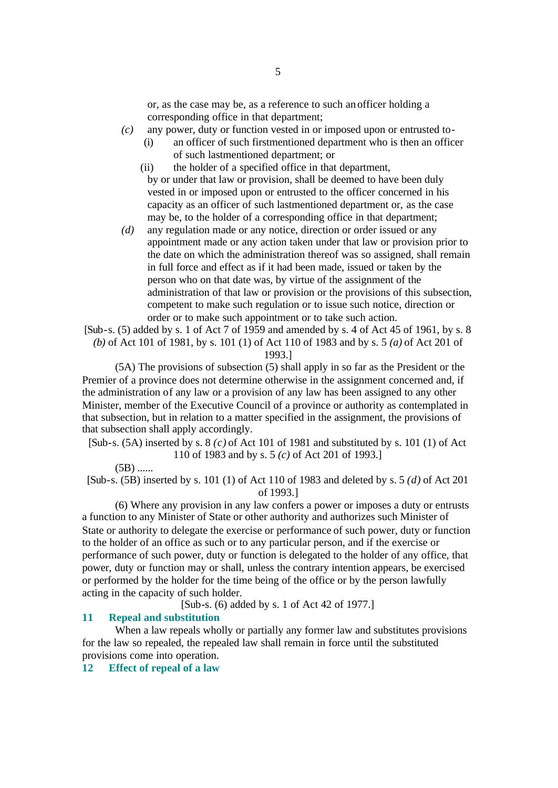or, as the case may be, as a reference to such an officer holding a corresponding office in that department;

- *(c)* any power, duty or function vested in or imposed upon or entrusted to-
	- (i) an officer of such firstmentioned department who is then an officer of such lastmentioned department; or
	- (ii) the holder of a specified office in that department, by or under that law or provision, shall be deemed to have been duly vested in or imposed upon or entrusted to the officer concerned in his capacity as an officer of such lastmentioned department or, as the case may be, to the holder of a corresponding office in that department;
- *(d)* any regulation made or any notice, direction or order issued or any appointment made or any action taken under that law or provision prior to the date on which the administration thereof was so assigned, shall remain in full force and effect as if it had been made, issued or taken by the person who on that date was, by virtue of the assignment of the administration of that law or provision or the provisions of this subsection, competent to make such regulation or to issue such notice, direction or order or to make such appointment or to take such action.

[Sub-s. (5) added by s. 1 of Act 7 of 1959 and amended by s. 4 of Act 45 of 1961, by s. 8 *(b)* of Act 101 of 1981, by s. 101 (1) of Act 110 of 1983 and by s. 5 *(a)* of Act 201 of

1993.]

(5A) The provisions of subsection (5) shall apply in so far as the President or the Premier of a province does not determine otherwise in the assignment concerned and, if the administration of any law or a provision of any law has been assigned to any other Minister, member of the Executive Council of a province or authority as contemplated in that subsection, but in relation to a matter specified in the assignment, the provisions of that subsection shall apply accordingly.

[Sub-s. (5A) inserted by s. 8 *(c)* of Act 101 of 1981 and substituted by s. 101 (1) of Act 110 of 1983 and by s. 5 *(c)* of Act 201 of 1993.]

 $(5B)$  ......

[Sub-s. (5B) inserted by s. 101 (1) of Act 110 of 1983 and deleted by s. 5 *(d)* of Act 201 of 1993.]

(6) Where any provision in any law confers a power or imposes a duty or entrusts a function to any Minister of State or other authority and authorizes such Minister of State or authority to delegate the exercise or performance of such power, duty or function to the holder of an office as such or to any particular person, and if the exercise or performance of such power, duty or function is delegated to the holder of any office, that power, duty or function may or shall, unless the contrary intention appears, be exercised or performed by the holder for the time being of the office or by the person lawfully acting in the capacity of such holder.

[Sub-s. (6) added by s. 1 of Act 42 of 1977.]

### **11 Repeal and substitution**

When a law repeals wholly or partially any former law and substitutes provisions for the law so repealed, the repealed law shall remain in force until the substituted provisions come into operation.

**12 Effect of repeal of a law**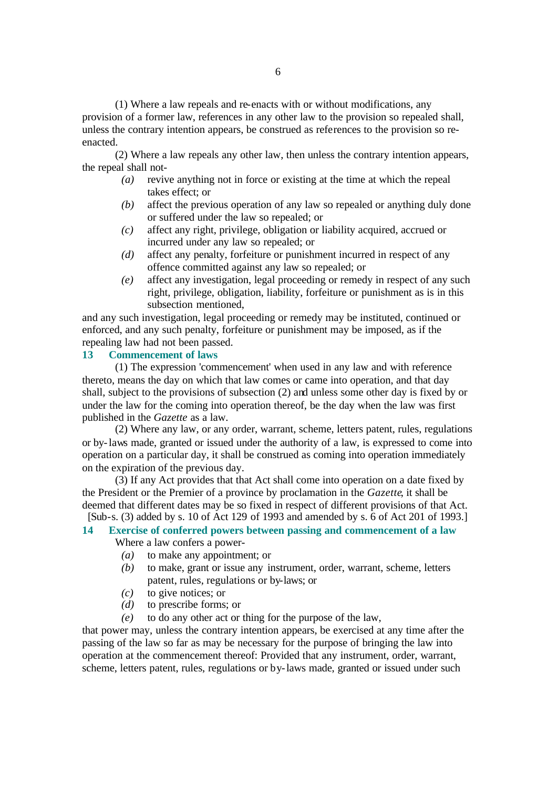(1) Where a law repeals and re-enacts with or without modifications, any provision of a former law, references in any other law to the provision so repealed shall, unless the contrary intention appears, be construed as references to the provision so reenacted.

(2) Where a law repeals any other law, then unless the contrary intention appears, the repeal shall not-

- *(a)* revive anything not in force or existing at the time at which the repeal takes effect; or
- *(b)* affect the previous operation of any law so repealed or anything duly done or suffered under the law so repealed; or
- *(c)* affect any right, privilege, obligation or liability acquired, accrued or incurred under any law so repealed; or
- *(d)* affect any penalty, forfeiture or punishment incurred in respect of any offence committed against any law so repealed; or
- *(e)* affect any investigation, legal proceeding or remedy in respect of any such right, privilege, obligation, liability, forfeiture or punishment as is in this subsection mentioned,

and any such investigation, legal proceeding or remedy may be instituted, continued or enforced, and any such penalty, forfeiture or punishment may be imposed, as if the repealing law had not been passed.

## **13 Commencement of laws**

(1) The expression 'commencement' when used in any law and with reference thereto, means the day on which that law comes or came into operation, and that day shall, subject to the provisions of subsection (2) and unless some other day is fixed by or under the law for the coming into operation thereof, be the day when the law was first published in the *Gazette* as a law.

(2) Where any law, or any order, warrant, scheme, letters patent, rules, regulations or by-laws made, granted or issued under the authority of a law, is expressed to come into operation on a particular day, it shall be construed as coming into operation immediately on the expiration of the previous day.

(3) If any Act provides that that Act shall come into operation on a date fixed by the President or the Premier of a province by proclamation in the *Gazette*, it shall be deemed that different dates may be so fixed in respect of different provisions of that Act. [Sub-s. (3) added by s. 10 of Act 129 of 1993 and amended by s. 6 of Act 201 of 1993.]

# **14 Exercise of conferred powers between passing and commencement of a law** Where a law confers a power-

- *(a)* to make any appointment; or
- *(b)* to make, grant or issue any instrument, order, warrant, scheme, letters patent, rules, regulations or by-laws; or
- *(c)* to give notices; or
- *(d)* to prescribe forms; or
- *(e)* to do any other act or thing for the purpose of the law,

that power may, unless the contrary intention appears, be exercised at any time after the passing of the law so far as may be necessary for the purpose of bringing the law into operation at the commencement thereof: Provided that any instrument, order, warrant, scheme, letters patent, rules, regulations or by-laws made, granted or issued under such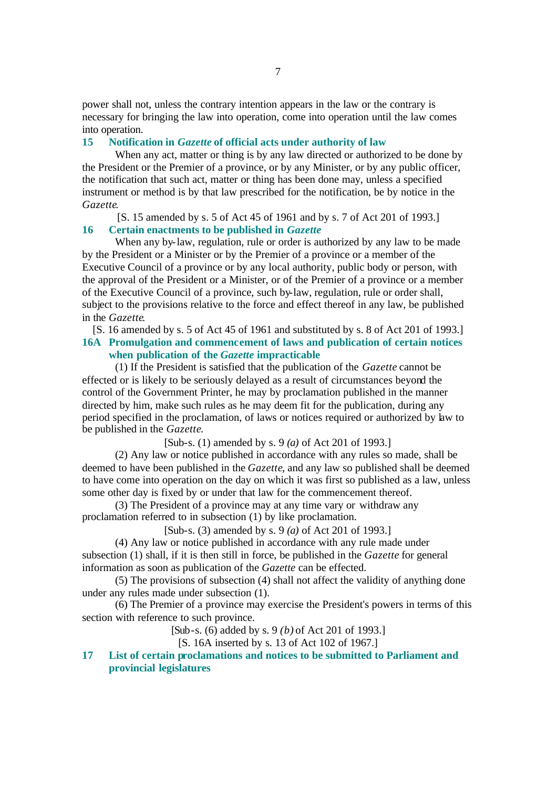power shall not, unless the contrary intention appears in the law or the contrary is necessary for bringing the law into operation, come into operation until the law comes into operation.

## **15 Notification in** *Gazette* **of official acts under authority of law**

When any act, matter or thing is by any law directed or authorized to be done by the President or the Premier of a province, or by any Minister, or by any public officer, the notification that such act, matter or thing has been done may, unless a specified instrument or method is by that law prescribed for the notification, be by notice in the *Gazette*.

[S. 15 amended by s. 5 of Act 45 of 1961 and by s. 7 of Act 201 of 1993.] **16 Certain enactments to be published in** *Gazette*

When any by-law, regulation, rule or order is authorized by any law to be made by the President or a Minister or by the Premier of a province or a member of the Executive Council of a province or by any local authority, public body or person, with the approval of the President or a Minister, or of the Premier of a province or a member of the Executive Council of a province, such by-law, regulation, rule or order shall, subject to the provisions relative to the force and effect thereof in any law, be published in the *Gazette*.

[S. 16 amended by s. 5 of Act 45 of 1961 and substituted by s. 8 of Act 201 of 1993.]

**16A Promulgation and commencement of laws and publication of certain notices when publication of the** *Gazette* **impracticable**

(1) If the President is satisfied that the publication of the *Gazette* cannot be effected or is likely to be seriously delayed as a result of circumstances beyond the control of the Government Printer, he may by proclamation published in the manner directed by him, make such rules as he may deem fit for the publication, during any period specified in the proclamation, of laws or notices required or authorized by law to be published in the *Gazette*.

[Sub-s. (1) amended by s. 9 *(a)* of Act 201 of 1993.]

(2) Any law or notice published in accordance with any rules so made, shall be deemed to have been published in the *Gazette*, and any law so published shall be deemed to have come into operation on the day on which it was first so published as a law, unless some other day is fixed by or under that law for the commencement thereof.

(3) The President of a province may at any time vary or withdraw any proclamation referred to in subsection (1) by like proclamation.

[Sub-s. (3) amended by s. 9 *(a)* of Act 201 of 1993.]

(4) Any law or notice published in accordance with any rule made under subsection (1) shall, if it is then still in force, be published in the *Gazette* for general information as soon as publication of the *Gazette* can be effected.

(5) The provisions of subsection (4) shall not affect the validity of anything done under any rules made under subsection (1).

(6) The Premier of a province may exercise the President's powers in terms of this section with reference to such province.

[Sub-s. (6) added by s. 9 *(b)* of Act 201 of 1993.]

[S. 16A inserted by s. 13 of Act 102 of 1967.]

**17 List of certain proclamations and notices to be submitted to Parliament and provincial legislatures**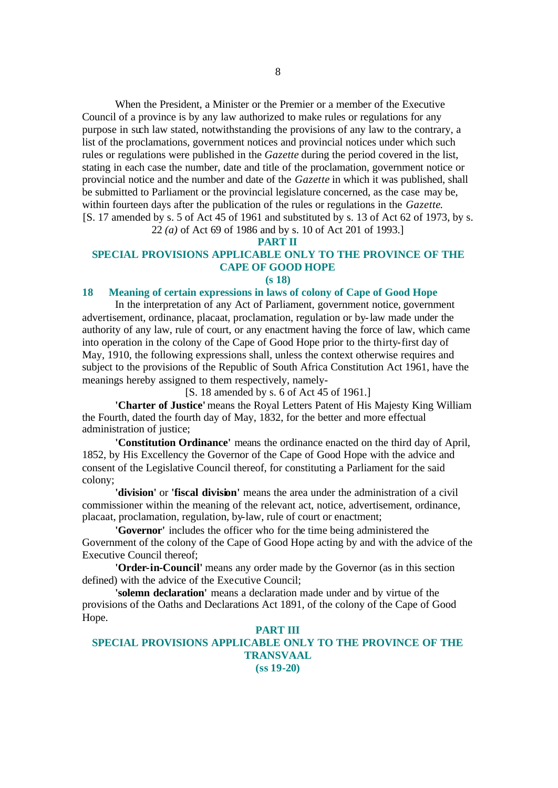When the President, a Minister or the Premier or a member of the Executive Council of a province is by any law authorized to make rules or regulations for any purpose in such law stated, notwithstanding the provisions of any law to the contrary, a list of the proclamations, government notices and provincial notices under which such rules or regulations were published in the *Gazette* during the period covered in the list, stating in each case the number, date and title of the proclamation, government notice or provincial notice and the number and date of the *Gazette* in which it was published, shall be submitted to Parliament or the provincial legislature concerned, as the case may be, within fourteen days after the publication of the rules or regulations in the *Gazette*. [S. 17 amended by s. 5 of Act 45 of 1961 and substituted by s. 13 of Act 62 of 1973, by s.

22 *(a)* of Act 69 of 1986 and by s. 10 of Act 201 of 1993.]

## **PART II**

# **SPECIAL PROVISIONS APPLICABLE ONLY TO THE PROVINCE OF THE CAPE OF GOOD HOPE**

## **(s 18)**

# **18 Meaning of certain expressions in laws of colony of Cape of Good Hope**

In the interpretation of any Act of Parliament, government notice, government advertisement, ordinance, placaat, proclamation, regulation or by-law made under the authority of any law, rule of court, or any enactment having the force of law, which came into operation in the colony of the Cape of Good Hope prior to the thirty-first day of May, 1910, the following expressions shall, unless the context otherwise requires and subject to the provisions of the Republic of South Africa Constitution Act 1961, have the meanings hereby assigned to them respectively, namely-

[S. 18 amended by s. 6 of Act 45 of 1961.]

**'Charter of Justice'** means the Royal Letters Patent of His Majesty King William the Fourth, dated the fourth day of May, 1832, for the better and more effectual administration of justice;

**'Constitution Ordinance'** means the ordinance enacted on the third day of April, 1852, by His Excellency the Governor of the Cape of Good Hope with the advice and consent of the Legislative Council thereof, for constituting a Parliament for the said colony;

**'division'** or **'fiscal division'** means the area under the administration of a civil commissioner within the meaning of the relevant act, notice, advertisement, ordinance, placaat, proclamation, regulation, by-law, rule of court or enactment;

**'Governor'** includes the officer who for the time being administered the Government of the colony of the Cape of Good Hope acting by and with the advice of the Executive Council thereof;

**'Order-in-Council'** means any order made by the Governor (as in this section defined) with the advice of the Executive Council;

**'solemn declaration'** means a declaration made under and by virtue of the provisions of the Oaths and Declarations Act 1891, of the colony of the Cape of Good Hope.

# **PART III SPECIAL PROVISIONS APPLICABLE ONLY TO THE PROVINCE OF THE TRANSVAAL (ss 19-20)**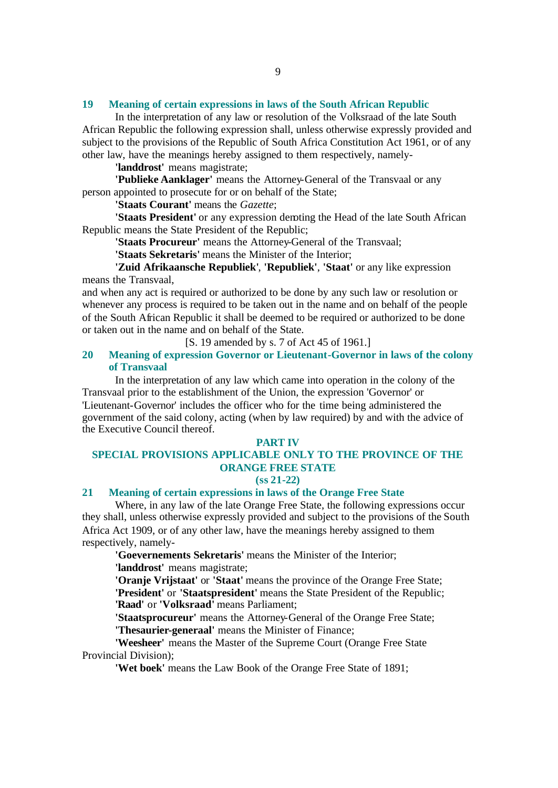### **19 Meaning of certain expressions in laws of the South African Republic**

In the interpretation of any law or resolution of the Volksraad of the late South African Republic the following expression shall, unless otherwise expressly provided and subject to the provisions of the Republic of South Africa Constitution Act 1961, or of any other law, have the meanings hereby assigned to them respectively, namely-

**'landdrost'** means magistrate;

**'Publieke Aanklager'** means the Attorney-General of the Transvaal or any person appointed to prosecute for or on behalf of the State;

**'Staats Courant'** means the *Gazette*;

**'Staats President'** or any expression denoting the Head of the late South African Republic means the State President of the Republic;

**'Staats Procureur'** means the Attorney-General of the Transvaal;

**'Staats Sekretaris'** means the Minister of the Interior;

**'Zuid Afrikaansche Republiek'**, **'Republiek'**, **'Staat'** or any like expression means the Transvaal,

and when any act is required or authorized to be done by any such law or resolution or whenever any process is required to be taken out in the name and on behalf of the people of the South African Republic it shall be deemed to be required or authorized to be done or taken out in the name and on behalf of the State.

[S. 19 amended by s. 7 of Act 45 of 1961.]

# **20 Meaning of expression Governor or Lieutenant-Governor in laws of the colony of Transvaal**

In the interpretation of any law which came into operation in the colony of the Transvaal prior to the establishment of the Union, the expression 'Governor' or 'Lieutenant-Governor' includes the officer who for the time being administered the government of the said colony, acting (when by law required) by and with the advice of the Executive Council thereof.

#### **PART IV**

# **SPECIAL PROVISIONS APPLICABLE ONLY TO THE PROVINCE OF THE ORANGE FREE STATE**

# **(ss 21-22)**

# **21 Meaning of certain expressions in laws of the Orange Free State**

Where, in any law of the late Orange Free State, the following expressions occur they shall, unless otherwise expressly provided and subject to the provisions of the South Africa Act 1909, or of any other law, have the meanings hereby assigned to them respectively, namely-

**'Goevernements Sekretaris'** means the Minister of the Interior; **'landdrost'** means magistrate;

**'Oranje Vrijstaat'** or **'Staat'** means the province of the Orange Free State; **'President'** or **'Staatspresident'** means the State President of the Republic; **'Raad'** or **'Volksraad'** means Parliament;

**'Staatsprocureur'** means the Attorney-General of the Orange Free State; **'Thesaurier-generaal'** means the Minister of Finance;

**'Weesheer'** means the Master of the Supreme Court (Orange Free State Provincial Division);

**'Wet boek'** means the Law Book of the Orange Free State of 1891;